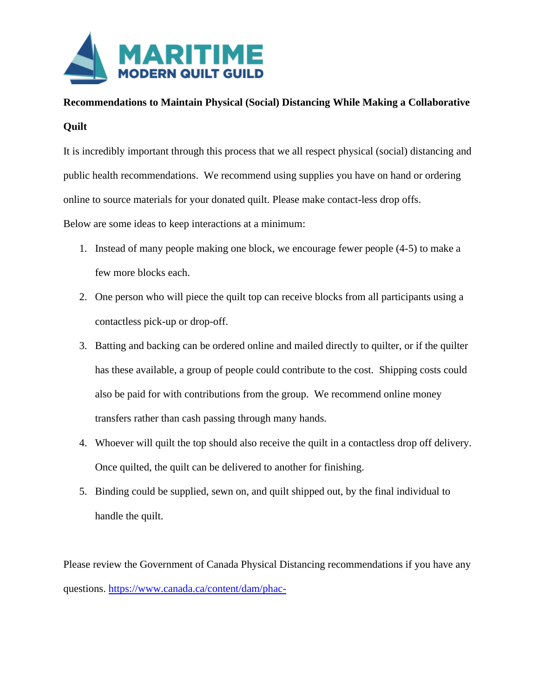

## **Recommendations to Maintain Physical (Social) Distancing While Making a Collaborative Quilt**

It is incredibly important through this process that we all respect physical (social) distancing and public health recommendations. We recommend using supplies you have on hand or ordering online to source materials for your donated quilt. Please make contact-less drop offs. Below are some ideas to keep interactions at a minimum:

- 1. Instead of many people making one block, we encourage fewer people (4-5) to make a few more blocks each.
- 2. One person who will piece the quilt top can receive blocks from all participants using a contactless pick-up or drop-off.
- 3. Batting and backing can be ordered online and mailed directly to quilter, or if the quilter has these available, a group of people could contribute to the cost. Shipping costs could also be paid for with contributions from the group. We recommend online money transfers rather than cash passing through many hands.
- 4. Whoever will quilt the top should also receive the quilt in a contactless drop off delivery. Once quilted, the quilt can be delivered to another for finishing.
- 5. Binding could be supplied, sewn on, and quilt shipped out, by the final individual to handle the quilt.

Please review the Government of Canada Physical Distancing recommendations if you have any questions. [https://www.canada.ca/content/dam/phac-](https://www.canada.ca/content/dam/phac-aspc/documents/services/publications/diseases-conditions/coronavirus/social-distancing/social-distancing-eng.pdf)